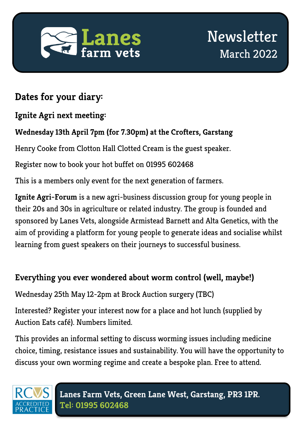

## **Dates for your diary:**

**Ignite Agri next meeting:**

#### **Wednesday 13th April 7pm (for 7.30pm) at the Crofters, Garstang**

Henry Cooke from Clotton Hall Clotted Cream is the guest speaker.

Register now to book your hot buffet on 01995 602468

This is a members only event for the next generation of farmers.

**Ignite Agri-Forum** is a new agri-business discussion group for young people in their 20s and 30s in agriculture or related industry. The group is founded and sponsored by Lanes Vets, alongside Armistead Barnett and Alta Genetics, with the aim of providing a platform for young people to generate ideas and socialise whilst learning from guest speakers on their journeys to successful business.

### **Everything you ever wondered about worm control (well, maybe!)**

Wednesday 25th May 12-2pm at Brock Auction surgery (TBC)

Interested? Register your interest now for a place and hot lunch (supplied by Auction Eats café). Numbers limited.

This provides an informal setting to discuss worming issues including medicine choice, timing, resistance issues and sustainability. You will have the opportunity to discuss your own worming regime and create a bespoke plan. Free to attend.

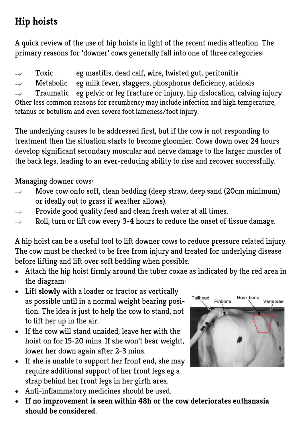# **Hip hoists**

A quick review of the use of hip hoists in light of the recent media attention. The primary reasons for 'downer' cows generally fall into one of three categories:

 $\Rightarrow$  Toxic eg mastitis, dead calf, wire, twisted gut, peritonitis

 $\Rightarrow$  Metabolic eg milk fever, staggers, phosphorus deficiency, acidosis

 $\Rightarrow$  Traumatic eg pelvic or leg fracture or injury, hip dislocation, calving injury Other less common reasons for recumbency may include infection and high temperature, tetanus or botulism and even severe foot lameness/foot injury.

The underlying causes to be addressed first, but if the cow is not responding to treatment then the situation starts to become gloomier. Cows down over 24 hours develop significant secondary muscular and nerve damage to the larger muscles of the back legs, leading to an ever-reducing ability to rise and recover successfully.

Managing downer cows:

- $\Rightarrow$  Move cow onto soft, clean bedding (deep straw, deep sand (20cm minimum) or ideally out to grass if weather allows).
- $\Rightarrow$  Provide good quality feed and clean fresh water at all times.
- $\Rightarrow$  Roll, turn or lift cow every 3-4 hours to reduce the onset of tissue damage.

A hip hoist can be a useful tool to lift downer cows to reduce pressure related injury. The cow must be checked to be free from injury and treated for underlying disease before lifting and lift over soft bedding when possible.

- Attach the hip hoist firmly around the tuber coxae as indicated by the red area in the diagram:
- Lift **slowly** with a loader or tractor as vertically as possible until in a normal weight bearing position. The idea is just to help the cow to stand, not to lift her up in the air.
- If the cow will stand unaided, leave her with the hoist on for 15-20 mins. If she won't bear weight, lower her down again after 2-3 mins.
- If she is unable to support her front end, she may require additional support of her front legs eg a strap behind her front legs in her girth area.
- Anti-inflammatory medicines should be used.
- **If no improvement is seen within 48h or the cow deteriorates euthanasia should be considered.**

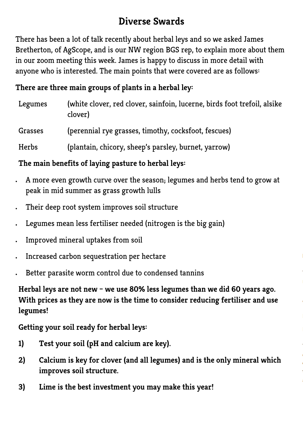## **Diverse Swards**

There has been a lot of talk recently about herbal leys and so we asked James Bretherton, of AgScope, and is our NW region BGS rep, to explain more about them in our zoom meeting this week. James is happy to discuss in more detail with anyone who is interested. The main points that were covered are as follows:

#### **There are three main groups of plants in a herbal ley:**

| Legumes        | (white clover, red clover, sainfoin, lucerne, birds foot trefoil, alsike<br>clover) |
|----------------|-------------------------------------------------------------------------------------|
| <b>Grasses</b> | (perennial rye grasses, timothy, cocksfoot, fescues)                                |
| Herbs          | (plantain, chicory, sheep's parsley, burnet, yarrow)                                |

#### **The main benefits of laying pasture to herbal leys:**

- A more even growth curve over the season; legumes and herbs tend to grow at peak in mid summer as grass growth lulls
- Their deep root system improves soil structure
- Legumes mean less fertiliser needed (nitrogen is the big gain)
- Improved mineral uptakes from soil
- Increased carbon sequestration per hectare
- Better parasite worm control due to condensed tannins

**Herbal leys are not new – we use 80% less legumes than we did 60 years ago. With prices as they are now is the time to consider reducing fertiliser and use legumes!**

**Getting your soil ready for herbal leys:**

- **1) Test your soil (pH and calcium are key).**
- **2) Calcium is key for clover (and all legumes) and is the only mineral which improves soil structure.**
- **3) Lime is the best investment you may make this year!**